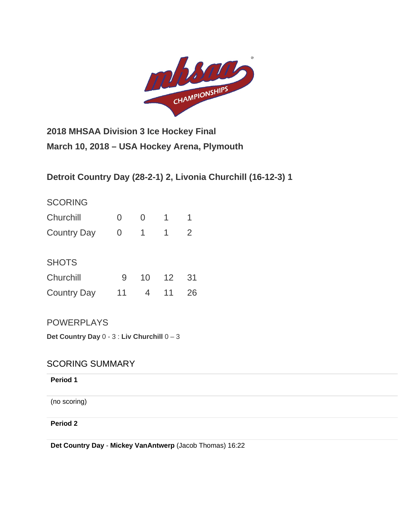

**2018 MHSAA Division 3 Ice Hockey Final March 10, 2018 – USA Hockey Arena, Plymouth**

**Detroit Country Day (28-2-1) 2, Livonia Churchill (16-12-3) 1**

# **SCORING**

| Churchill          |  |  |
|--------------------|--|--|
| <b>Country Day</b> |  |  |

# **SHOTS**

| Churchill          |    |         |  |
|--------------------|----|---------|--|
| <b>Country Day</b> | 11 | 4 11 26 |  |

# **POWERPLAYS**

**Det Country Day** 0 - 3 : **Liv Churchill** 0 – 3

# SCORING SUMMARY

## **Period 1**

(no scoring)

## **Period 2**

**Det Country Day** - **[Mickey VanAntwerp](http://mihl_site.wttstats.pointstreak.com/playerpage.html?playerid=10776929&seasonid=17926)** [\(Jacob Thomas\)](http://mihl_site.wttstats.pointstreak.com/playerpage.html?playerid=10776902&seasonid=17926) 16:22